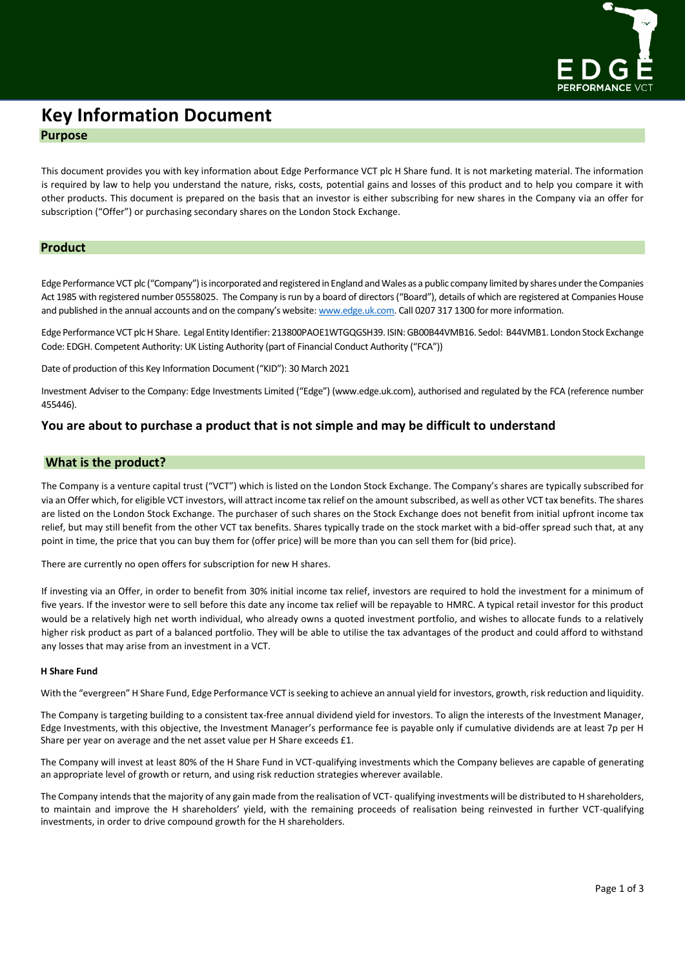

# **Key Information Document Purpose**

This document provides you with key information about Edge Performance VCT plc H Share fund. It is not marketing material. The information is required by law to help you understand the nature, risks, costs, potential gains and losses of this product and to help you compare it with other products. This document is prepared on the basis that an investor is either subscribing for new shares in the Company via an offer for subscription ("Offer") or purchasing secondary shares on the London Stock Exchange.

## **Product**

Edge Performance VCT plc ("Company") is incorporated and registered in England and Wales as a public company limited by shares under the Companies Act 1985 with registered number 05558025. The Company is run by a board of directors ("Board"), details of which are registered at Companies House and published in the annual accounts and on the company's website: [www.edge.uk.com.](http://www.edge.uk.com/) Call 0207 317 1300 for more information.

Edge Performance VCT plc H Share. Legal Entity Identifier: 213800PAOE1WTGQGSH39. ISIN: GB00B44VMB16. Sedol: B44VMB1. London Stock Exchange Code: EDGH. Competent Authority: UK Listing Authority (part of Financial Conduct Authority ("FCA"))

Date of production of this Key Information Document ("KID"): 30 March 2021

Investment Adviser to the Company: Edge Investments Limited ("Edge") (www.edge.uk.com), authorised and regulated by the FCA (reference number 455446).

# **You are about to purchase a product that is not simple and may be difficult to understand**

## **What is the product?**

The Company is a venture capital trust ("VCT") which is listed on the London Stock Exchange. The Company's shares are typically subscribed for via an Offer which, for eligible VCT investors, will attract income tax relief on the amount subscribed, as well as other VCT tax benefits. The shares are listed on the London Stock Exchange. The purchaser of such shares on the Stock Exchange does not benefit from initial upfront income tax relief, but may still benefit from the other VCT tax benefits. Shares typically trade on the stock market with a bid-offer spread such that, at any point in time, the price that you can buy them for (offer price) will be more than you can sell them for (bid price).

There are currently no open offers for subscription for new H shares.

If investing via an Offer, in order to benefit from 30% initial income tax relief, investors are required to hold the investment for a minimum of five years. If the investor were to sell before this date any income tax relief will be repayable to HMRC. A typical retail investor for this product would be a relatively high net worth individual, who already owns a quoted investment portfolio, and wishes to allocate funds to a relatively higher risk product as part of a balanced portfolio. They will be able to utilise the tax advantages of the product and could afford to withstand any losses that may arise from an investment in a VCT.

### **H Share Fund**

With the "evergreen" H Share Fund, Edge Performance VCT is seeking to achieve an annual yield for investors, growth, risk reduction and liquidity.

The Company is targeting building to a consistent tax-free annual dividend yield for investors. To align the interests of the Investment Manager, Edge Investments, with this objective, the Investment Manager's performance fee is payable only if cumulative dividends are at least 7p per H Share per year on average and the net asset value per H Share exceeds £1.

The Company will invest at least 80% of the H Share Fund in VCT-qualifying investments which the Company believes are capable of generating an appropriate level of growth or return, and using risk reduction strategies wherever available.

The Company intends that the majority of any gain made from the realisation of VCT- qualifying investments will be distributed to H shareholders, to maintain and improve the H shareholders' yield, with the remaining proceeds of realisation being reinvested in further VCT-qualifying investments, in order to drive compound growth for the H shareholders.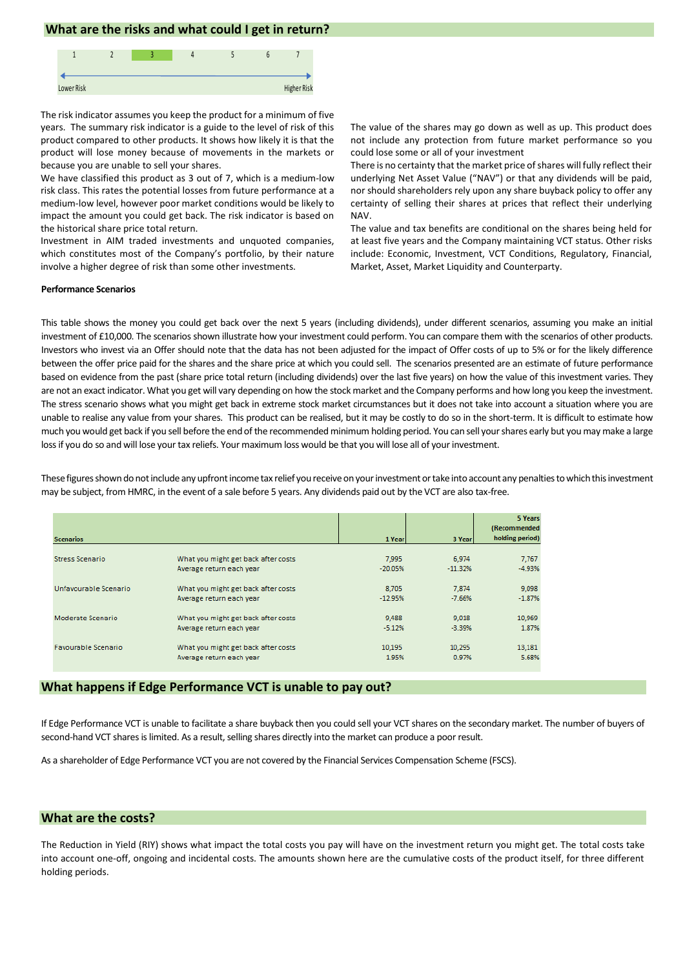## **What are the risks and what could I get in return?**



The risk indicator assumes you keep the product for a minimum of five years. The summary risk indicator is a guide to the level of risk of this product compared to other products. It shows how likely it is that the product will lose money because of movements in the markets or because you are unable to sell your shares.

We have classified this product as 3 out of 7, which is a medium-low risk class. This rates the potential losses from future performance at a medium-low level, however poor market conditions would be likely to impact the amount you could get back. The risk indicator is based on the historical share price total return.

Investment in AIM traded investments and unquoted companies, which constitutes most of the Company's portfolio, by their nature involve a higher degree of risk than some other investments.

The value of the shares may go down as well as up. This product does not include any protection from future market performance so you could lose some or all of your investment

There is no certainty that the market price of shares will fully reflect their underlying Net Asset Value ("NAV") or that any dividends will be paid, nor should shareholders rely upon any share buyback policy to offer any certainty of selling their shares at prices that reflect their underlying NAV.

The value and tax benefits are conditional on the shares being held for at least five years and the Company maintaining VCT status. Other risks include: Economic, Investment, VCT Conditions, Regulatory, Financial, Market, Asset, Market Liquidity and Counterparty.

#### **Performance Scenarios**

This table shows the money you could get back over the next 5 years (including dividends), under different scenarios, assuming you make an initial investment of £10,000. The scenarios shown illustrate how your investment could perform. You can compare them with the scenarios of other products. Investors who invest via an Offer should note that the data has not been adjusted for the impact of Offer costs of up to 5% or for the likely difference between the offer price paid for the shares and the share price at which you could sell. The scenarios presented are an estimate of future performance based on evidence from the past (share price total return (including dividends) over the last five years) on how the value of this investment varies. They are not an exact indicator. What you get will vary depending on how the stock market and the Company performs and how long you keep the investment. The stress scenario shows what you might get back in extreme stock market circumstances but it does not take into account a situation where you are unable to realise any value from your shares. This product can be realised, but it may be costly to do so in the short-term. It is difficult to estimate how much you would get back if you sell before the end of the recommended minimum holding period. You can sell your shares early but you may make a large loss if you do so and will lose your tax reliefs. Your maximum loss would be that you will lose all of your investment.

These figures shown do not include any upfront income tax relief you receive on your investment or take into account any penalties to which this investment may be subject, from HMRC, in the event of a sale before 5 years. Any dividends paid out by the VCT are also tax-free.

|                            |                                     |           |           | 5 Years<br>(Recommended) |
|----------------------------|-------------------------------------|-----------|-----------|--------------------------|
| <b>Scenarios</b>           |                                     | 1 Year    | 3 Yearl   | holding period)          |
| <b>Stress Scenario</b>     | What you might get back after costs | 7.995     | 6.974     | 7,767                    |
|                            | Average return each year            | $-20.05%$ | $-11.32%$ | $-4.93%$                 |
| Unfavourable Scenario      | What you might get back after costs | 8.705     | 7,874     | 9,098                    |
|                            | Average return each year            | $-12.95%$ | $-7.66%$  | $-1.87%$                 |
| Moderate Scenario          | What you might get back after costs | 9,488     | 9.018     | 10,969                   |
|                            | Average return each year            | $-5.12%$  | $-3.39%$  | 1.87%                    |
| <b>Favourable Scenario</b> | What you might get back after costs | 10.195    | 10.295    | 13,181                   |
|                            | Average return each year            | 1.95%     | 0.97%     | 5.68%                    |

## **What happens if Edge Performance VCT is unable to pay out?**

If Edge Performance VCT is unable to facilitate a share buyback then you could sell your VCT shares on the secondary market. The number of buyers of second-hand VCT shares is limited. As a result, selling shares directly into the market can produce a poor result.

As a shareholder of Edge Performance VCT you are not covered by the Financial Services Compensation Scheme (FSCS).

## **What are the costs?**

The Reduction in Yield (RIY) shows what impact the total costs you pay will have on the investment return you might get. The total costs take into account one-off, ongoing and incidental costs. The amounts shown here are the cumulative costs of the product itself, for three different holding periods.